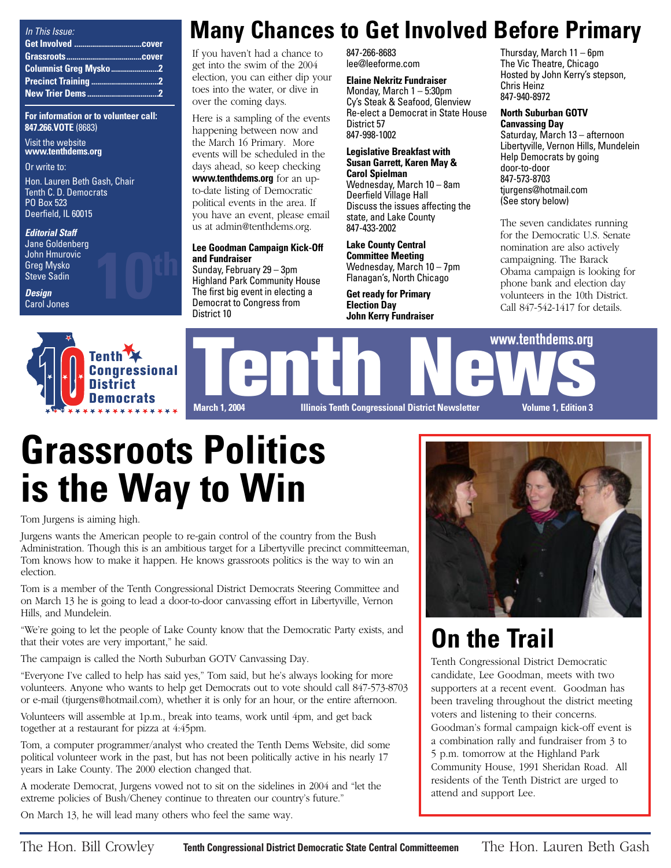| In This Issue: |  |
|----------------|--|
|                |  |
|                |  |
|                |  |
|                |  |
|                |  |

**For information or to volunteer call: 847.266.VOTE** (8683)

Visit the website **www.tenthdems.org** 

Or write to:

Hon. Lauren Beth Gash, Chair Tenth C. D. Democrats PO Box 523 Deerfield, IL 60015

#### **Editorial Staff**

Jane Goldenberg John Hmurovic Greg Mysko Steve Sadin

**Design** Carol Jones



**10th**

## **Many Chances to Get Involved Before Primary**

If you haven't had a chance to get into the swim of the 2004 election, you can either dip your toes into the water, or dive in over the coming days.

Here is a sampling of the events happening between now and the March 16 Primary. More events will be scheduled in the days ahead, so keep checking **www.tenthdems.org** for an upto-date listing of Democratic political events in the area. If you have an event, please email us at admin@tenthdems.org.

### **Lee Goodman Campaign Kick-Off and Fundraiser**

Sunday, February 29 – 3pm Highland Park Community House The first big event in electing a Democrat to Congress from District 10

847-266-8683 lee@leeforme.com

**Elaine Nekritz Fundraiser** Monday, March 1 – 5:30pm Cy's Steak & Seafood, Glenview Re-elect a Democrat in State House District 57 847-998-1002

#### **Legislative Breakfast with Susan Garrett, Karen May & Carol Spielman**

Wednesday, March 10 – 8am Deerfield Village Hall Discuss the issues affecting the state, and Lake County 847-433-2002

**Lake County Central Committee Meeting** Wednesday, March 10 – 7pm Flanagan's, North Chicago

**Get ready for Primary Election Day John Kerry Fundraiser** Thursday, March 11 – 6pm The Vic Theatre, Chicago Hosted by John Kerry's stepson, Chris Heinz 847-940-8972

### **North Suburban GOTV Canvassing Day**

Saturday, March 13 – afternoon Libertyville, Vernon Hills, Mundelein Help Democrats by going door-to-door 847-573-8703 tjurgens@hotmail.com (See story below)

The seven candidates running for the Democratic U.S. Senate nomination are also actively campaigning. The Barack Obama campaign is looking for phone bank and election day volunteers in the 10th District. Call 847-542-1417 for details.



# **Grassroots Politics is the Way to Win**

Tom Jurgens is aiming high.

Jurgens wants the American people to re-gain control of the country from the Bush Administration. Though this is an ambitious target for a Libertyville precinct committeeman, Tom knows how to make it happen. He knows grassroots politics is the way to win an election.

Tom is a member of the Tenth Congressional District Democrats Steering Committee and on March 13 he is going to lead a door-to-door canvassing effort in Libertyville, Vernon Hills, and Mundelein.

"We're going to let the people of Lake County know that the Democratic Party exists, and that their votes are very important," he said.

The campaign is called the North Suburban GOTV Canvassing Day.

"Everyone I've called to help has said yes," Tom said, but he's always looking for more volunteers. Anyone who wants to help get Democrats out to vote should call 847-573-8703 or e-mail (tjurgens@hotmail.com), whether it is only for an hour, or the entire afternoon.

Volunteers will assemble at 1p.m., break into teams, work until 4pm, and get back together at a restaurant for pizza at 4:45pm.

Tom, a computer programmer/analyst who created the Tenth Dems Website, did some political volunteer work in the past, but has not been politically active in his nearly 17 years in Lake County. The 2000 election changed that.

A moderate Democrat, Jurgens vowed not to sit on the sidelines in 2004 and "let the extreme policies of Bush/Cheney continue to threaten our country's future."

On March 13, he will lead many others who feel the same way.



# **On the Trail**

Tenth Congressional District Democratic candidate, Lee Goodman, meets with two supporters at a recent event. Goodman has been traveling throughout the district meeting voters and listening to their concerns. Goodman's formal campaign kick-off event is a combination rally and fundraiser from 3 to 5 p.m. tomorrow at the Highland Park Community House, 1991 Sheridan Road. All residents of the Tenth District are urged to attend and support Lee.